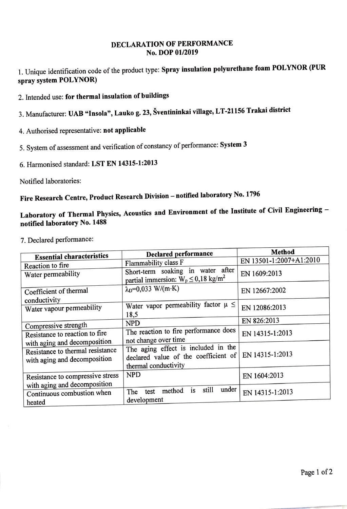## DECLARAТION **OF** PERFORМANCE **No. DOP 01/2019**

1. Unique identification code of the product type: **Spray insulation polyurethane foam POL YNOR (PUR spray system POL YNOR)** 

- 2. Intended use: **for thermal insulation of buildings**
- 3. Manufacturer: **UAB "lnsola", Lauko g. 23, Sventininkai village, LT-21156 Trakai district**
- 4. Authorised representative: **not** applicaЫe
- 5. System of assessment and verification of constancy of performance: **System 3**
- 6. Haпnonised standard: **LST EN 14315-1:2013**

Notified laboratories:

## **Fire Research Centre, Product Research Division** - **notified laboratory No. <sup>1796</sup>**

## **Laboratory of Thermal Physics, Acoustics and Environment of the Institute of Civil Engineering notified laboratory No. 1488**

7. Declared performance:

|                                  | <b>Declared performance</b>                      | <b>Method</b>           |
|----------------------------------|--------------------------------------------------|-------------------------|
| <b>Essential characteristics</b> | Flammability class F                             | EN 13501-1:2007+A1:2010 |
| Reaction to fire                 |                                                  |                         |
| Water permeability               | Short-term soaking in water after                | EN 1609:2013            |
|                                  | partial immersion: $W_p \le 0.18 \text{ kg/m}^2$ |                         |
| Coefficient of thermal           | $\lambda_D = 0.033$ W/(m·K)                      | EN 12667:2002           |
| conductivity                     |                                                  |                         |
| Water vapour permeability        | Water vapor permeability factor $\mu \leq$       | EN 12086:2013           |
|                                  | 18,5                                             |                         |
| Compressive strength             | <b>NPD</b>                                       | EN 826:2013             |
| Resistance to reaction to fire   | The reaction to fire performance does            | EN 14315-1:2013         |
| with aging and decomposition.    | not change over time                             |                         |
|                                  | The aging effect is included in the              |                         |
| Resistance to thermal resistance | declared value of the coefficient of             | EN 14315-1:2013         |
| with aging and decomposition     | thermal conductivity                             |                         |
|                                  |                                                  |                         |
| Resistance to compressive stress | <b>NPD</b>                                       | EN 1604:2013            |
| with aging and decomposition     | still<br>under                                   |                         |
| Continuous combustion when       | is<br>method<br>test<br>The                      | EN 14315-1:2013         |
| heated                           | development                                      |                         |